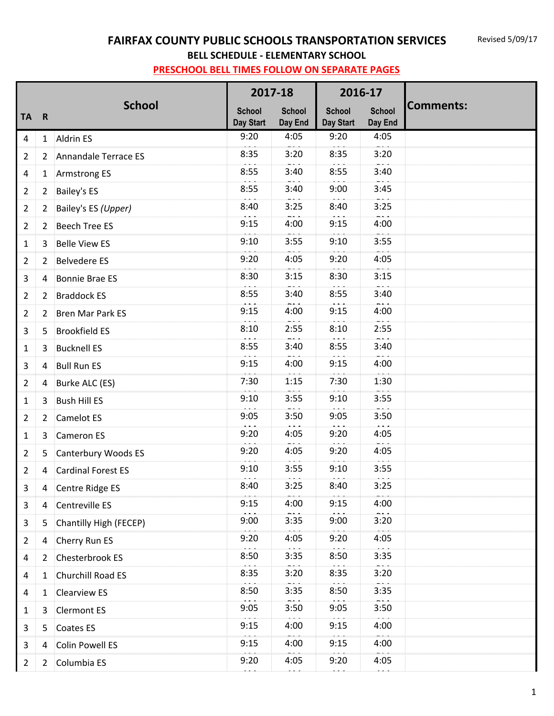# **FAIRFAX COUNTY PUBLIC SCHOOLS TRANSPORTATION SERVICES**

**BELL SCHEDULE - ELEMENTARY SCHOOL**

|                |                |                         | 2017-18                    |                              | 2016-17                           |                              |                  |
|----------------|----------------|-------------------------|----------------------------|------------------------------|-----------------------------------|------------------------------|------------------|
| <b>TA</b>      | $\overline{R}$ | <b>School</b>           | <b>School</b><br>Day Start | <b>School</b><br>Day End     | <b>School</b><br><b>Day Start</b> | <b>School</b><br>Day End     | <b>Comments:</b> |
| 4              |                | 1 Aldrin ES             | 9:20<br>$\cdots$           | 4:05<br>$ -$                 | 9:20<br>$\sim$ $\sim$             | 4:05<br>$ -$                 |                  |
| $\overline{2}$ | $\mathbf{2}$   | Annandale Terrace ES    | 8:35                       | 3:20                         | 8:35                              | 3:20                         |                  |
| 4              | 1              | <b>Armstrong ES</b>     | 8:55                       | 3:40                         | 8:55                              | 3:40                         |                  |
| $\overline{2}$ | 2              | <b>Bailey's ES</b>      | 8:55                       | 3:40                         | 9:00                              | $\sim$ $\sim$ $\sim$<br>3:45 |                  |
| $\overline{2}$ | $\overline{2}$ | Bailey's ES (Upper)     | 8:40<br>$\sim$ $\sim$      | 3:25                         | 8:40                              | 3:25<br>$ -$                 |                  |
| $\overline{2}$ | $\overline{2}$ | <b>Beech Tree ES</b>    | 9:15                       | 4:00                         | 9:15                              | 4:00                         |                  |
| 1              | 3              | <b>Belle View ES</b>    | 9:10                       | 3:55                         | 9:10                              | 3:55                         |                  |
| $\overline{2}$ | $\overline{2}$ | <b>Belvedere ES</b>     | 9:20                       | 4:05                         | 9:20                              | 4:05                         |                  |
| 3              | 4              | <b>Bonnie Brae ES</b>   | 8:30                       | 3:15                         | 8:30                              | 3:15                         |                  |
| 2              | 2              | <b>Braddock ES</b>      | 8:55                       | 3:40                         | 8:55                              | 3:40                         |                  |
| $\overline{2}$ | 2              | <b>Bren Mar Park ES</b> | 9:15                       | 4:00                         | 9:15                              | 4:00                         |                  |
| 3              | 5              | <b>Brookfield ES</b>    | 8:10                       | 2:55                         | 8:10                              | 2:55                         |                  |
| 1              | 3              | <b>Bucknell ES</b>      | 8:55                       | 3:40                         | 8:55                              | 3:40                         |                  |
| 3              | 4              | <b>Bull Run ES</b>      | 9:15                       | 4:00<br>$\sim$ $\sim$ $\sim$ | 9:15                              | 4:00                         |                  |
| $\overline{2}$ | 4              | Burke ALC (ES)          | 7:30<br>$\sim$             | 1:15                         | 7:30                              | 1:30                         |                  |
| 1              | 3              | <b>Bush Hill ES</b>     | 9:10                       | 3:55                         | 9:10                              | 3:55                         |                  |
| $\overline{2}$ | 2              | <b>Camelot ES</b>       | 9:05                       | 3:50                         | 9:05                              | 3:50                         |                  |
| 1              | 3              | <b>Cameron ES</b>       | 9:20                       | 4:05                         | 9:20                              | 4:05<br>$-1$                 |                  |
| $\overline{2}$ |                | 5 Canterbury Woods ES   | 9:20                       | 4:05                         | 9:20                              | 4:05                         |                  |
| $\overline{2}$ |                | 4 Cardinal Forest ES    | 9:10<br>$\sim$ $\sim$      | 3:55<br>المناجات             | 9:10<br>$\sim$ $\sim$             | 3:55<br>$\sim$ $\sim$        |                  |
| $\mathbf{3}$   |                | 4 Centre Ridge ES       | 8:40                       | 3:25                         | 8:40                              | 3:25                         |                  |
| 3              | 4              | Centreville ES          | 9:15                       | 4:00                         | 9:15                              | 4:00                         |                  |
| 3              | 5              | Chantilly High (FECEP)  | 9:00                       | 3:35                         | 9:00                              | 3:20                         |                  |
| $\overline{2}$ | 4              | Cherry Run ES           | 9:20                       | 4:05                         | 9:20                              | 4:05                         |                  |
| 4              | 2              | Chesterbrook ES         | 8:50                       | 3:35                         | 8:50                              | 3:35                         |                  |
| 4              | 1              | Churchill Road ES       | 8:35                       | 3:20                         | 8:35                              | 3:20                         |                  |
| 4              | 1              | <b>Clearview ES</b>     | 8:50                       | 3:35                         | 8:50                              | 3:35                         |                  |
| 1              | 3              | <b>Clermont ES</b>      | 9:05                       | 3:50                         | 9:05                              | 3:50                         |                  |
| 3              | 5              | Coates ES               | 9:15                       | 4:00                         | 9:15                              | 4:00                         |                  |
| 3              | 4              | <b>Colin Powell ES</b>  | 9:15                       | 4:00                         | 9:15                              | 4:00                         |                  |
| $\overline{2}$ | 2              | Columbia ES             | 9:20                       | 4:05                         | 9:20                              | 4:05                         |                  |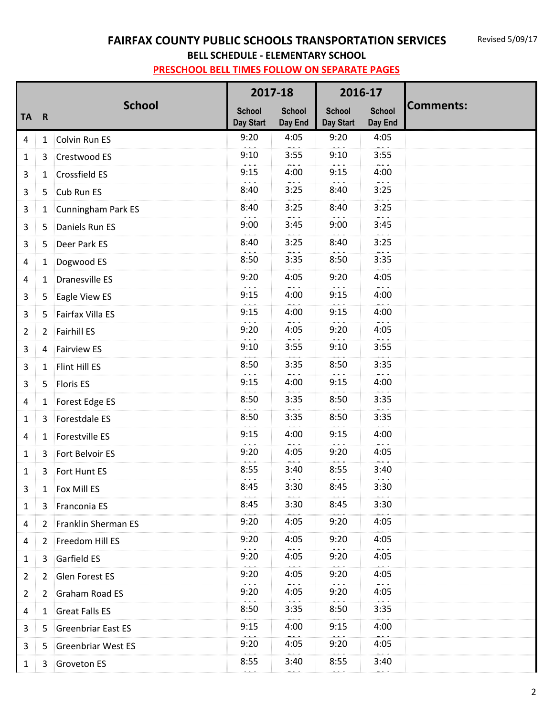### **FAIRFAX COUNTY PUBLIC SCHOOLS TRANSPORTATION SERVICES**

**BELL SCHEDULE - ELEMENTARY SCHOOL**

|                |                |                           | 2017-18                           |                          | 2016-17                    |                              |                  |
|----------------|----------------|---------------------------|-----------------------------------|--------------------------|----------------------------|------------------------------|------------------|
| <b>TA</b>      | $\mathbf R$    | <b>School</b>             | <b>School</b><br><b>Day Start</b> | <b>School</b><br>Day End | <b>School</b><br>Day Start | <b>School</b><br>Day End     | <b>Comments:</b> |
| $\overline{4}$ |                | 1 Colvin Run ES           | 9:20                              | 4:05                     | 9:20                       | 4:05                         |                  |
| 1              | 3              | Crestwood ES              | 9:10                              | 3:55                     | 9:10                       | 3:55                         |                  |
| 3              |                | 1 Crossfield ES           | 9:15                              | 4:00                     | 9:15                       | 4:00                         |                  |
| 3              |                | 5 Cub Run ES              | 8:40                              | 3:25                     | 8:40                       | 3:25                         |                  |
| 3              | 1              | Cunningham Park ES        | 8:40                              | 3:25                     | 8:40                       | 3:25                         |                  |
| 3              | 5              | Daniels Run ES            | 9:00                              | 3:45                     | 9:00                       | 3:45                         |                  |
| 3              | 5              | Deer Park ES              | 8:40                              | 3:25                     | 8:40                       | 3:25                         |                  |
| 4              | 1              | Dogwood ES                | 8:50                              | 3:35                     | 8:50                       | 3:35                         |                  |
| 4              | 1              | <b>Dranesville ES</b>     | 9:20                              | 4:05                     | 9:20                       | 4:05                         |                  |
| 3              | 5              | Eagle View ES             | 9:15                              | 4:00                     | 9:15                       | 4:00                         |                  |
| 3              | 5.             | Fairfax Villa ES          | 9:15                              | 4:00                     | 9:15                       | 4:00<br>$ -$                 |                  |
| $\overline{2}$ | $\overline{2}$ | Fairhill ES               | 9:20                              | 4:05                     | 9:20                       | 4:05                         |                  |
| 3              | 4              | <b>Fairview ES</b>        | 9:10                              | 3:55                     | 9:10                       | 3:55                         |                  |
| 3              | 1              | Flint Hill ES             | 8:50                              | 3:35                     | 8:50                       | 3:35                         |                  |
| 3              | 5              | <b>Floris ES</b>          | 9:15                              | 4:00                     | 9:15                       | 4:00                         |                  |
| 4              | 1              | Forest Edge ES            | 8:50                              | 3:35                     | 8:50                       | 3:35                         |                  |
| 1              |                | 3 Forestdale ES           | 8:50                              | 3:35                     | 8:50                       | 3:35                         |                  |
| 4              | 1              | Forestville ES            | 9:15                              | 4:00                     | 9:15                       | 4:00                         |                  |
| 1              |                | 3 Fort Belvoir ES         | 9:20                              | 4:05                     | 9:20                       | 4:05                         |                  |
| 1              | 3              | Fort Hunt ES              | 8:55                              | 3:40                     | 8:55                       | 3:40                         |                  |
| 3              | 1              | Fox Mill ES               | 8:45                              | 3:30                     | 8:45                       | 3:30                         |                  |
| 1              | 3              | Franconia ES              | 8:45                              | 3:30                     | 8:45                       | 3:30                         |                  |
| 4              | 2              | Franklin Sherman ES       | 9:20                              | 4:05                     | 9:20                       | 4:05                         |                  |
| 4              | 2              | Freedom Hill ES           | 9:20                              | 4:05                     | 9:20                       | 4:05                         |                  |
| 1              | 3              | Garfield ES               | 9:20                              | 4:05                     | 9:20                       | 4:05<br>$\sim$ $\sim$ $\sim$ |                  |
| $\overline{2}$ | 2              | Glen Forest ES            | 9:20                              | 4:05                     | 9:20                       | 4:05                         |                  |
| $\overline{2}$ | $\mathbf{2}$   | Graham Road ES            | 9:20                              | 4:05                     | 9:20                       | 4:05                         |                  |
| 4              | 1              | <b>Great Falls ES</b>     | 8:50                              | 3:35                     | 8:50                       | 3:35                         |                  |
| 3              | 5              | <b>Greenbriar East ES</b> | 9:15                              | 4:00                     | 9:15                       | 4:00                         |                  |
| 3              | 5              | <b>Greenbriar West ES</b> | 9:20                              | 4:05                     | 9:20                       | 4:05                         |                  |
| $\mathbf{1}$   | 3              | <b>Groveton ES</b>        | 8:55                              | 3:40<br>$ -$             | 8:55                       | 3:40                         |                  |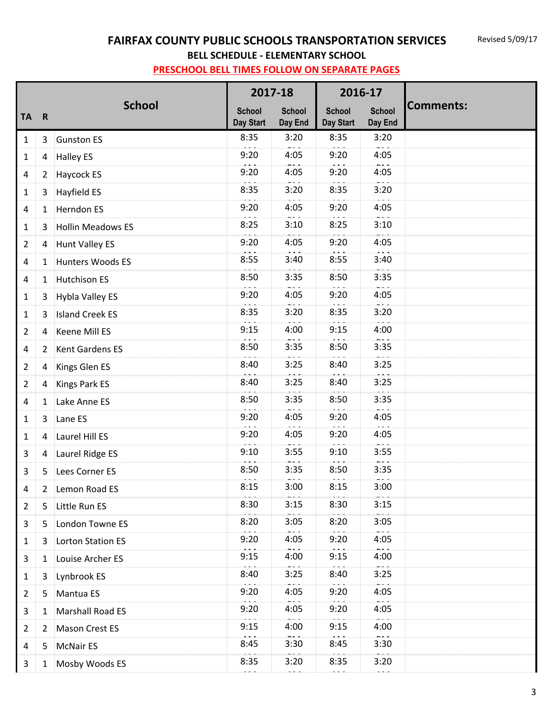# **FAIRFAX COUNTY PUBLIC SCHOOLS TRANSPORTATION SERVICES**

**BELL SCHEDULE - ELEMENTARY SCHOOL**

|                |                |                          | 2017-18                    |                          | 2016-17                           |                          |                  |
|----------------|----------------|--------------------------|----------------------------|--------------------------|-----------------------------------|--------------------------|------------------|
| <b>TA</b>      | $\mathbf R$    | <b>School</b>            | <b>School</b><br>Day Start | <b>School</b><br>Day End | <b>School</b><br><b>Day Start</b> | <b>School</b><br>Day End | <b>Comments:</b> |
| $\mathbf{1}$   | 3              | <b>Gunston ES</b>        | 8:35                       | 3:20                     | 8:35                              | 3:20                     |                  |
| 1              | 4              | <b>Halley ES</b>         | 9:20                       | 4:05                     | 9:20                              | 4:05                     |                  |
| 4              | 2              | Haycock ES               | 9:20                       | 4:05                     | 9:20                              | 4:05                     |                  |
| 1              | 3              | Hayfield ES              | 8:35                       | 3:20                     | 8:35                              | 3:20                     |                  |
| 4              | 1              | Herndon ES               | 9:20                       | 4:05                     | 9:20                              | 4:05                     |                  |
| 1              | 3              | <b>Hollin Meadows ES</b> | 8:25                       | 3:10                     | 8:25                              | 3:10                     |                  |
| $\overline{2}$ | 4              | <b>Hunt Valley ES</b>    | 9:20                       | 4:05                     | 9:20                              | 4:05                     |                  |
| $\overline{4}$ | $\mathbf{1}$   | Hunters Woods ES         | 8:55                       | 3:40                     | 8:55                              | 3:40                     |                  |
| $\overline{4}$ | 1              | <b>Hutchison ES</b>      | 8:50                       | 3:35                     | 8:50                              | 3:35                     |                  |
| 1              | 3              | Hybla Valley ES          | 9:20                       | 4:05                     | 9:20                              | 4:05<br>$ -$             |                  |
| 1              | 3              | <b>Island Creek ES</b>   | 8:35                       | 3:20                     | 8:35                              | 3:20                     |                  |
| $\overline{2}$ | 4              | Keene Mill ES            | 9:15                       | 4:00                     | 9:15                              | 4:00                     |                  |
| $\overline{4}$ | $\overline{2}$ | Kent Gardens ES          | 8:50                       | 3:35                     | 8:50                              | 3:35                     |                  |
| $\overline{2}$ | 4              | Kings Glen ES            | 8:40                       | 3:25                     | 8:40                              | 3:25                     |                  |
| $\overline{2}$ | 4              | <b>Kings Park ES</b>     | 8:40                       | 3:25                     | 8:40                              | 3:25                     |                  |
| 4              | 1              | Lake Anne ES             | 8:50                       | 3:35                     | 8:50                              | 3:35                     |                  |
| $\mathbf{1}$   | $\mathbf{3}$   | Lane ES                  | 9:20                       | 4:05                     | 9:20                              | 4:05                     |                  |
| 1              | 4              | Laurel Hill ES           | 9:20                       | 4:05                     | 9:20                              | 4:05                     |                  |
| 3              | 4              | Laurel Ridge ES          | 9:10                       | 3:55                     | 9:10                              | 3:55                     |                  |
| 3              | 5              | Lees Corner ES           | 8:50                       | 3:35                     | 8:50                              | 3:35                     |                  |
| 4              | 2              | Lemon Road ES            | 8:15                       | 3:00                     | 8:15                              | 3:00                     |                  |
| $\overline{2}$ | 5              | Little Run ES            | 8:30                       | 3:15                     | 8:30                              | 3:15                     |                  |
| 3              | 5              | London Towne ES          | 8:20                       | 3:05                     | 8:20                              | 3:05                     |                  |
| $\mathbf{1}$   | 3              | <b>Lorton Station ES</b> | 9:20                       | 4:05                     | 9:20                              | 4:05                     |                  |
| 3              | 1              | Louise Archer ES         | 9:15                       | 4:00                     | 9:15                              | 4:00                     |                  |
| 1              | 3              | Lynbrook ES              | 8:40                       | 3:25                     | 8:40                              | 3:25                     |                  |
| $\overline{2}$ | 5              | Mantua ES                | 9:20                       | 4:05                     | 9:20                              | 4:05<br>$  -$            |                  |
| 3              | 1              | Marshall Road ES         | 9:20                       | 4:05                     | 9:20                              | 4:05                     |                  |
| $\overline{2}$ | 2              | <b>Mason Crest ES</b>    | 9:15                       | 4:00                     | 9:15                              | 4:00                     |                  |
| 4              | 5              | <b>McNair ES</b>         | 8:45                       | 3:30                     | 8:45                              | 3:30                     |                  |
| 3              | 1              | Mosby Woods ES           | 8:35                       | 3:20                     | 8:35                              | 3:20                     |                  |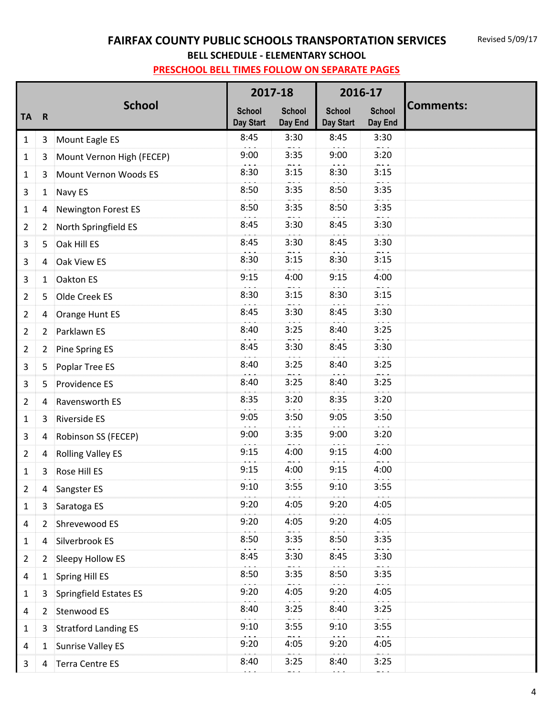# **FAIRFAX COUNTY PUBLIC SCHOOLS TRANSPORTATION SERVICES**

**BELL SCHEDULE - ELEMENTARY SCHOOL**

|                |                         |                               | 2017-18                           |                          | 2016-17                    |                              |                  |
|----------------|-------------------------|-------------------------------|-----------------------------------|--------------------------|----------------------------|------------------------------|------------------|
| <b>TA</b>      | $\overline{\mathbf{R}}$ | <b>School</b>                 | <b>School</b><br><b>Day Start</b> | <b>School</b><br>Day End | <b>School</b><br>Day Start | <b>School</b><br>Day End     | <b>Comments:</b> |
| $\mathbf{1}$   | 3                       | Mount Eagle ES                | 8:45                              | 3:30                     | 8:45                       | 3:30                         |                  |
| 1              | 3                       | Mount Vernon High (FECEP)     | 9:00                              | 3:35                     | 9:00                       | 3:20                         |                  |
| 1              | 3                       | Mount Vernon Woods ES         | 8:30                              | 3:15                     | 8:30                       | 3:15                         |                  |
| 3              | $\mathbf{1}$            | Navy ES                       | 8:50                              | 3:35                     | 8:50                       | 3:35                         |                  |
| 1              | 4                       | Newington Forest ES           | 8:50                              | 3:35                     | 8:50                       | 3:35                         |                  |
| $\overline{2}$ | 2                       | North Springfield ES          | 8:45                              | 3:30                     | 8:45                       | 3:30                         |                  |
| 3              | 5                       | Oak Hill ES                   | 8:45                              | 3:30                     | 8:45                       | 3:30                         |                  |
| 3              | 4                       | Oak View ES                   | 8:30                              | 3:15                     | 8:30                       | 3:15                         |                  |
| 3              | $\mathbf{1}$            | Oakton ES                     | 9:15                              | 4:00                     | 9:15                       | 4:00                         |                  |
| $\overline{2}$ | 5                       | Olde Creek ES                 | 8:30                              | 3:15                     | 8:30                       | 3:15                         |                  |
| $\overline{2}$ | 4                       | Orange Hunt ES                | 8:45                              | 3:30                     | 8:45                       | 3:30                         |                  |
| $\overline{2}$ | 2                       | Parklawn ES                   | 8:40                              | 3:25                     | 8:40                       | 3:25                         |                  |
| $\overline{2}$ | 2                       | Pine Spring ES                | 8:45                              | 3:30                     | 8:45                       | 3:30                         |                  |
| 3              | 5                       | Poplar Tree ES                | 8:40                              | 3:25                     | 8:40                       | 3:25                         |                  |
| 3              | 5                       | Providence ES                 | 8:40                              | 3:25                     | 8:40                       | 3:25                         |                  |
| $\overline{2}$ | 4                       | Ravensworth ES                | 8:35                              | 3:20                     | 8:35                       | 3:20                         |                  |
| 1              | 3                       | Riverside ES                  | 9:05                              | 3:50                     | 9:05                       | 3:50                         |                  |
| 3              | 4                       | Robinson SS (FECEP)           | 9:00                              | 3:35                     | 9:00                       | 3:20                         |                  |
| 2              | 4                       | <b>Rolling Valley ES</b>      | 9:15                              | 4:00<br>$  -$            | 9:15                       | 4:00<br>$ -$                 |                  |
| 1              | 3                       | Rose Hill ES                  | 9:15                              | 4:00                     | 9:15                       | 4:00                         |                  |
| $\overline{2}$ |                         | 4 Sangster ES                 | 9:10                              | 3:55                     | 9:10                       | 3:55<br>$\sim$ $\sim$ $\sim$ |                  |
| 1              | 3                       | Saratoga ES                   | 9:20                              | 4:05                     | 9:20                       | 4:05                         |                  |
| 4              | $\overline{2}$          | Shrevewood ES                 | 9:20                              | 4:05                     | 9:20                       | 4:05                         |                  |
| $\mathbf{1}$   | 4                       | Silverbrook ES                | 8:50                              | 3:35                     | 8:50                       | 3:35                         |                  |
| $\overline{2}$ | 2                       | Sleepy Hollow ES              | 8:45                              | 3:30                     | 8:45                       | 3:30                         |                  |
| 4              | 1                       | Spring Hill ES                | 8:50                              | 3:35                     | 8:50                       | 3:35                         |                  |
| $\mathbf{1}$   | 3                       | <b>Springfield Estates ES</b> | 9:20                              | 4:05                     | 9:20                       | 4:05                         |                  |
| 4              | 2                       | Stenwood ES                   | 8:40                              | 3:25                     | 8:40                       | 3:25                         |                  |
| $\mathbf{1}$   | 3                       | <b>Stratford Landing ES</b>   | 9:10                              | 3:55                     | 9:10                       | 3:55                         |                  |
| 4              | 1                       | <b>Sunrise Valley ES</b>      | 9:20                              | 4:05                     | 9:20                       | 4:05                         |                  |
| 3              | 4                       | <b>Terra Centre ES</b>        | 8:40                              | 3:25                     | 8:40                       | 3:25                         |                  |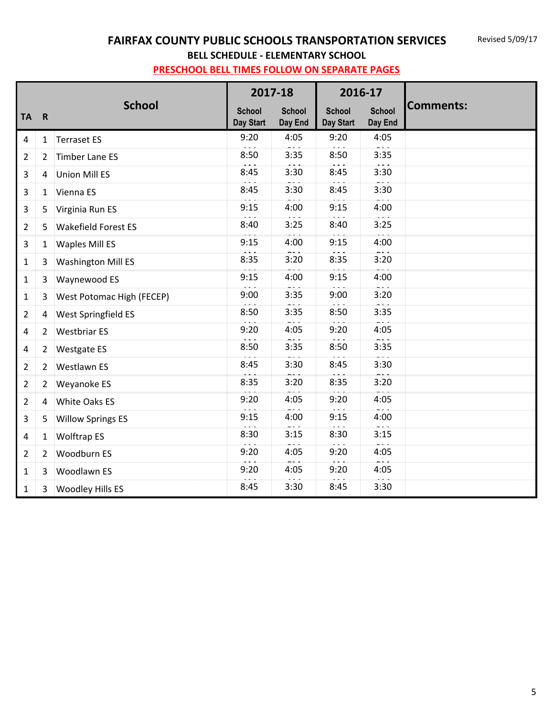### **FAIRFAX COUNTY PUBLIC SCHOOLS TRANSPORTATION SERVICES**

**BELL SCHEDULE - ELEMENTARY SCHOOL**

|                |                |                            |                            | 2017-18                  | 2016-17                    |                          |                  |
|----------------|----------------|----------------------------|----------------------------|--------------------------|----------------------------|--------------------------|------------------|
| <b>TA</b>      | $\mathbf R$    | <b>School</b>              | <b>School</b><br>Day Start | <b>School</b><br>Day End | <b>School</b><br>Day Start | <b>School</b><br>Day End | <b>Comments:</b> |
| $\overline{a}$ |                | 1 Terraset ES              | 9:20                       | 4:05                     | 9:20                       | 4:05                     |                  |
| $\overline{2}$ | $\overline{2}$ | <b>Timber Lane ES</b>      | 8:50                       | 3:35                     | 8:50                       | 3:35                     |                  |
| 3              | 4              | <b>Union Mill ES</b>       | 8:45                       | 3:30                     | 8:45                       | 3:30                     |                  |
| 3              | 1              | Vienna ES                  | 8:45                       | 3:30                     | 8:45                       | 3:30                     |                  |
| 3              | 5              | Virginia Run ES            | 9:15                       | 4:00                     | 9:15                       | 4:00                     |                  |
| $\overline{2}$ | 5              | <b>Wakefield Forest ES</b> | 8:40                       | 3:25                     | 8:40                       | 3:25                     |                  |
| 3              | $\mathbf{1}$   | <b>Waples Mill ES</b>      | 9:15                       | 4:00                     | 9:15                       | 4:00                     |                  |
| $\mathbf{1}$   | 3              | <b>Washington Mill ES</b>  | 8:35                       | 3:20                     | 8:35                       | 3:20                     |                  |
| $\mathbf{1}$   | 3              | Waynewood ES               | 9:15                       | 4:00                     | 9:15                       | 4:00                     |                  |
| $\mathbf{1}$   | $\mathbf{3}$   | West Potomac High (FECEP)  | 9:00                       | 3:35                     | 9:00                       | 3:20                     |                  |
| $\overline{2}$ | 4              | West Springfield ES        | 8:50                       | 3:35                     | 8:50                       | 3:35                     |                  |
| 4              | $2^{\circ}$    | <b>Westbriar ES</b>        | 9:20                       | 4:05                     | 9:20                       | 4:05                     |                  |
| 4              | $\overline{2}$ | <b>Westgate ES</b>         | 8:50                       | 3:35                     | 8:50                       | 3:35                     |                  |
| $\overline{2}$ |                | 2 Westlawn ES              | 8:45                       | 3:30                     | 8:45                       | 3:30                     |                  |
| $\overline{2}$ | $\overline{2}$ | Weyanoke ES                | 8:35                       | 3:20                     | 8:35                       | 3:20                     |                  |
| $\overline{2}$ | 4              | White Oaks ES              | 9:20                       | 4:05                     | 9:20                       | 4:05                     |                  |
| 3              | 5              | <b>Willow Springs ES</b>   | 9:15                       | 4:00                     | 9:15                       | 4:00                     |                  |
| $\overline{a}$ | $\mathbf{1}$   | <b>Wolftrap ES</b>         | 8:30                       | 3:15                     | 8:30                       | 3:15                     |                  |
| $\overline{2}$ | $\overline{2}$ | Woodburn ES                | 9:20                       | 4:05                     | 9:20                       | 4:05                     |                  |
| $\mathbf{1}$   | 3              | Woodlawn ES                | 9:20                       | 4:05                     | 9:20                       | 4:05                     |                  |
| $\mathbf{1}$   | 3              | <b>Woodley Hills ES</b>    | 8:45                       | 3:30                     | 8:45                       | 3:30                     |                  |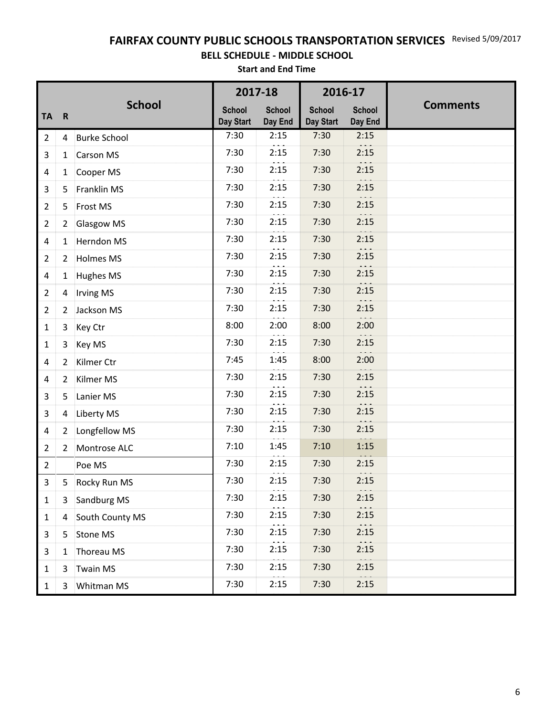### **FAIRFAX COUNTY PUBLIC SCHOOLS TRANSPORTATION SERVICES** Revised 5/09/2017

#### **BELL SCHEDULE - MIDDLE SCHOOL**

**Start and End Time**

|                |                |                     | 2017-18                    |                                          | 2016-17                    |                          |                 |
|----------------|----------------|---------------------|----------------------------|------------------------------------------|----------------------------|--------------------------|-----------------|
| <b>TA</b>      | $\mathbf R$    | <b>School</b>       | <b>School</b><br>Day Start | <b>School</b><br>Day End                 | <b>School</b><br>Day Start | <b>School</b><br>Day End | <b>Comments</b> |
| $\overline{2}$ | 4              | <b>Burke School</b> | 7:30                       | 2:15                                     | 7:30                       | 2:15                     |                 |
| 3              | $\mathbf{1}$   | <b>Carson MS</b>    | 7:30                       | 2:15                                     | 7:30                       | 2:15                     |                 |
| 4              |                | 1 Cooper MS         | 7:30                       | 2:15                                     | 7:30                       | 2:15                     |                 |
| 3              | 5              | Franklin MS         | 7:30                       | 2:15                                     | 7:30                       | 2:15                     |                 |
| 2              | 5              | Frost MS            | 7:30                       | 2:15                                     | 7:30                       | 2:15                     |                 |
| $\overline{2}$ | 2              | <b>Glasgow MS</b>   | 7:30                       | 2:15                                     | 7:30                       | 2:15                     |                 |
| 4              | 1              | Herndon MS          | 7:30                       | 2:15                                     | 7:30                       | 2:15                     |                 |
| 2              | $\mathbf{2}$   | <b>Holmes MS</b>    | 7:30                       | 2:15                                     | 7:30                       | 2:15                     |                 |
| 4              | 1              | <b>Hughes MS</b>    | 7:30                       | 2:15                                     | 7:30                       | 2:15                     |                 |
| $\overline{2}$ | 4              | <b>Irving MS</b>    | 7:30                       | 2:15                                     | 7:30                       | 2:15                     |                 |
| 2              | 2              | Jackson MS          | 7:30                       | 2:15                                     | 7:30                       | 2:15                     |                 |
| 1              | 3              | Key Ctr             | 8:00                       | 2:00                                     | 8:00                       | 2:00                     |                 |
| 1              | 3              | Key MS              | 7:30                       | 2:15                                     | 7:30                       | 2:15                     |                 |
| 4              | 2              | Kilmer Ctr          | 7:45                       | 1:45                                     | 8:00                       | 2:00                     |                 |
| 4              | $\overline{2}$ | Kilmer MS           | 7:30                       | 2:15                                     | 7:30                       | 2:15                     |                 |
| 3              | 5              | Lanier MS           | 7:30                       | 2:15                                     | 7:30                       | 2:15                     |                 |
| 3              | 4              | <b>Liberty MS</b>   | 7:30                       | 2:15                                     | 7:30                       | 2:15                     |                 |
| 4              | $\mathbf{2}$   | Longfellow MS       | 7:30                       | 2:15                                     | 7:30                       | 2:15                     |                 |
| 2              | $\overline{2}$ | Montrose ALC        | 7:10                       | 1:45                                     | 7:10                       | 1:15                     |                 |
| $\overline{2}$ |                | Poe MS              | 7:30                       | 2:15                                     | 7:30                       | 2:15                     |                 |
| 3              | 5.             | Rocky Run MS        | 7:30                       | 2:15                                     | 7:30                       | 2:15                     |                 |
| $\mathbf{1}$   | 3              | Sandburg MS         | 7:30                       | $\sigma$ , $\sigma$ , $\sigma$ .<br>2:15 | 7:30                       | $\dots$<br>2:15          |                 |
| $\mathbf{1}$   | 4              | South County MS     | 7:30                       | 2:15                                     | 7:30                       | 2:15                     |                 |
| 3              | 5              | Stone MS            | 7:30                       | 2:15                                     | 7:30                       | 2:15                     |                 |
| 3              | $\mathbf{1}$   | Thoreau MS          | 7:30                       | 2:15                                     | 7:30                       | 2:15                     |                 |
| $\mathbf{1}$   | 3              | <b>Twain MS</b>     | 7:30                       | 2:15                                     | 7:30                       | 2:15                     |                 |
| $\mathbf{1}$   | 3              | Whitman MS          | 7:30                       | 2:15                                     | 7:30                       | 2:15                     |                 |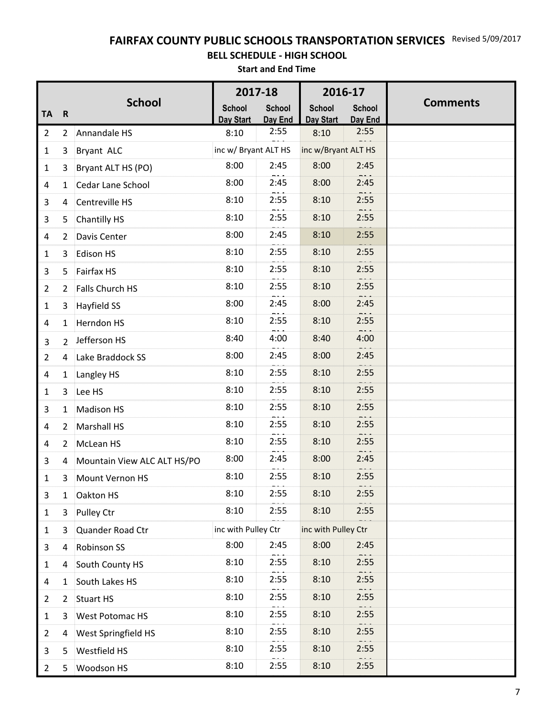### **FAIRFAX COUNTY PUBLIC SCHOOLS TRANSPORTATION SERVICES** Revised 5/09/2017

#### **BELL SCHEDULE - HIGH SCHOOL**

**Start and End Time**

|                |                |                             | 2017-18              |                 | 2016-17             |                 |                 |
|----------------|----------------|-----------------------------|----------------------|-----------------|---------------------|-----------------|-----------------|
| <b>TA</b>      | $\mathbf R$    | <b>School</b>               | <b>School</b>        | <b>School</b>   | <b>School</b>       | <b>School</b>   | <b>Comments</b> |
| $\overline{2}$ |                | 2 Annandale HS              | Day Start<br>8:10    | Day End<br>2:55 | Day Start<br>8:10   | Day End<br>2:55 |                 |
| 1              | 3              | Bryant ALC                  | inc w/ Bryant ALT HS |                 | inc w/Bryant ALT HS | $  -$           |                 |
| $\mathbf{1}$   | 3              | Bryant ALT HS (PO)          | 8:00                 | 2:45            | 8:00                | 2:45            |                 |
| 4              | $\mathbf{1}$   | <b>Cedar Lane School</b>    | 8:00                 | 2:45            | 8:00                | 2:45            |                 |
| 3              | 4              | Centreville HS              | 8:10                 | 2:55            | 8:10                | 2:55            |                 |
| 3              | 5              | <b>Chantilly HS</b>         | 8:10                 | 2:55            | 8:10                | 2:55            |                 |
| 4              | $\mathbf{2}$   | Davis Center                | 8:00                 | 2:45            | 8:10                | 2:55            |                 |
| 1              | 3              | <b>Edison HS</b>            | 8:10                 | 2:55            | 8:10                | 2:55            |                 |
| 3              | 5              | Fairfax HS                  | 8:10                 | 2:55            | 8:10                | 2:55            |                 |
| $\overline{2}$ | $\overline{2}$ | Falls Church HS             | 8:10                 | 2:55            | 8:10                | 2:55            |                 |
| 1              | 3              | Hayfield SS                 | 8:00                 | 2:45            | 8:00                | 2:45            |                 |
| 4              | $\mathbf{1}$   | <b>Herndon HS</b>           | 8:10                 | 2:55            | 8:10                | $  -$<br>2:55   |                 |
| 3              | $2^{\circ}$    | Jefferson HS                | 8:40                 | 4:00            | 8:40                | 4:00            |                 |
| $\overline{2}$ | 4              | Lake Braddock SS            | 8:00                 | 2:45            | 8:00                | 2:45            |                 |
| 4              | 1              | Langley HS                  | 8:10                 | 2:55            | 8:10                | 2:55            |                 |
| 1              | 3              | Lee HS                      | 8:10                 | 2:55            | 8:10                | 2:55            |                 |
| 3              | $\mathbf{1}$   | <b>Madison HS</b>           | 8:10                 | 2:55            | 8:10                | 2:55            |                 |
| 4              | $\mathbf{2}$   | <b>Marshall HS</b>          | 8:10                 | 2:55            | 8:10                | 2:55            |                 |
| 4              |                | 2 McLean HS                 | 8:10                 | 2:55            | 8:10                | 2:55            |                 |
| 3              | 4              | Mountain View ALC ALT HS/PO | 8:00                 | 2:45            | 8:00                | 2:45            |                 |
| $\mathbf 1$    | 3              | Mount Vernon HS             | 8:10                 | 2:55            | 8:10                | 2:55            |                 |
| 3              | 1              | Oakton HS                   | 8:10                 | 2:55            | 8:10                | 2:55            |                 |
| 1              | 3              | Pulley Ctr                  | 8:10                 | 2:55            | 8:10                | 2:55            |                 |
| 1              | 3              | Quander Road Ctr            | inc with Pulley Ctr  |                 | inc with Pulley Ctr |                 |                 |
| 3              | 4              | Robinson SS                 | 8:00                 | 2:45            | 8:00                | 2:45            |                 |
| 1              | 4              | South County HS             | 8:10                 | 2:55            | 8:10                | 2:55            |                 |
| 4              | 1              | South Lakes HS              | 8:10                 | 2:55            | 8:10                | 2:55            |                 |
| $\overline{2}$ | $\overline{2}$ | <b>Stuart HS</b>            | 8:10                 | 2:55            | 8:10                | 2:55            |                 |
| 1              | 3              | West Potomac HS             | 8:10                 | 2:55            | 8:10                | 2:55            |                 |
| $\overline{2}$ | 4              | West Springfield HS         | 8:10                 | 2:55            | 8:10                | 2:55            |                 |
| 3              | 5              | Westfield HS                | 8:10                 | 2:55            | 8:10                | 2:55            |                 |
| 2              | 5              | Woodson HS                  | 8:10                 | 2:55            | 8:10                | 2:55            |                 |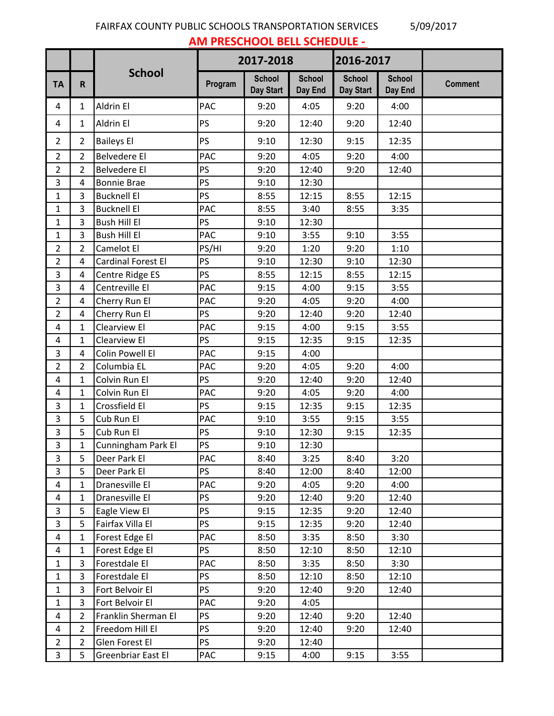### FAIRFAX COUNTY PUBLIC SCHOOLS TRANSPORTATION SERVICES 5/09/2017

**AM PRESCHOOL BELL SCHEDULE -** 

|                         |                |                     |            | 2017-2018                  |                          | 2016-2017                  |                          |                |
|-------------------------|----------------|---------------------|------------|----------------------------|--------------------------|----------------------------|--------------------------|----------------|
| <b>TA</b>               | R.             | <b>School</b>       | Program    | <b>School</b><br>Day Start | <b>School</b><br>Day End | <b>School</b><br>Day Start | <b>School</b><br>Day End | <b>Comment</b> |
| 4                       | $\mathbf{1}$   | Aldrin El           | <b>PAC</b> | 9:20                       | 4:05                     | 9:20                       | 4:00                     |                |
| 4                       | $\mathbf{1}$   | Aldrin El           | PS         | 9:20                       | 12:40                    | 9:20                       | 12:40                    |                |
| $2^{\circ}$             | $\overline{2}$ | <b>Baileys El</b>   | PS         | 9:10                       | 12:30                    | 9:15                       | 12:35                    |                |
| $\overline{2}$          | $\overline{2}$ | <b>Belvedere El</b> | PAC        | 9:20                       | 4:05                     | 9:20                       | 4:00                     |                |
| $\overline{2}$          | $\overline{2}$ | <b>Belvedere El</b> | PS         | 9:20                       | 12:40                    | 9:20                       | 12:40                    |                |
| 3                       | 4              | <b>Bonnie Brae</b>  | PS         | 9:10                       | 12:30                    |                            |                          |                |
| $\mathbf{1}$            | 3              | <b>Bucknell El</b>  | PS         | 8:55                       | 12:15                    | 8:55                       | 12:15                    |                |
| $\mathbf{1}$            | 3              | <b>Bucknell El</b>  | <b>PAC</b> | 8:55                       | 3:40                     | 8:55                       | 3:35                     |                |
| $\mathbf 1$             | 3              | Bush Hill El        | PS         | 9:10                       | 12:30                    |                            |                          |                |
| $\mathbf{1}$            | 3              | <b>Bush Hill El</b> | PAC        | 9:10                       | 3:55                     | 9:10                       | 3:55                     |                |
| $\overline{2}$          | $\overline{2}$ | Camelot El          | PS/HI      | 9:20                       | 1:20                     | 9:20                       | 1:10                     |                |
| $\overline{2}$          | 4              | Cardinal Forest El  | PS         | 9:10                       | 12:30                    | 9:10                       | 12:30                    |                |
| 3                       | 4              | Centre Ridge ES     | PS         | 8:55                       | 12:15                    | 8:55                       | 12:15                    |                |
| 3                       | 4              | Centreville El      | PAC        | 9:15                       | 4:00                     | 9:15                       | 3:55                     |                |
| $\overline{2}$          | 4              | Cherry Run El       | <b>PAC</b> | 9:20                       | 4:05                     | 9:20                       | 4:00                     |                |
| $\overline{2}$          | 4              | Cherry Run El       | PS         | 9:20                       | 12:40                    | 9:20                       | 12:40                    |                |
| 4                       | $\mathbf{1}$   | Clearview El        | PAC        | 9:15                       | 4:00                     | 9:15                       | 3:55                     |                |
| $\overline{\mathbf{4}}$ | 1              | Clearview El        | PS         | 9:15                       | 12:35                    | 9:15                       | 12:35                    |                |
| 3                       | 4              | Colin Powell El     | PAC        | 9:15                       | 4:00                     |                            |                          |                |
| $\overline{2}$          | $\overline{2}$ | Columbia EL         | PAC        | 9:20                       | 4:05                     | 9:20                       | 4:00                     |                |
| 4                       | $\mathbf{1}$   | Colvin Run El       | PS         | 9:20                       | 12:40                    | 9:20                       | 12:40                    |                |
| 4                       | $\mathbf{1}$   | Colvin Run El       | PAC        | 9:20                       | 4:05                     | 9:20                       | 4:00                     |                |
| 3                       | 1              | Crossfield El       | PS         | 9:15                       | 12:35                    | 9:15                       | 12:35                    |                |
| 3                       | 5              | Cub Run El          | PAC        | 9:10                       | 3:55                     | 9:15                       | 3:55                     |                |
| 3                       | 5              | Cub Run El          | PS         | 9:10                       | 12:30                    | 9:15                       | 12:35                    |                |
| 3                       | 1              | Cunningham Park El  | PS         | 9:10                       | 12:30                    |                            |                          |                |
| 3                       | 5              | Deer Park El        | <b>PAC</b> | 8:40                       | 3:25                     | 8:40                       | 3:20                     |                |
| 3                       | 5              | Deer Park El        | <b>PS</b>  | 8:40                       | 12:00                    | 8:40                       | 12:00                    |                |
| 4                       | $\mathbf{1}$   | Dranesville El      | PAC        | 9:20                       | 4:05                     | 9:20                       | 4:00                     |                |
| 4                       | 1              | Dranesville El      | <b>PS</b>  | 9:20                       | 12:40                    | 9:20                       | 12:40                    |                |
| $\mathbf{3}$            | 5              | Eagle View El       | <b>PS</b>  | 9:15                       | 12:35                    | 9:20                       | 12:40                    |                |
| 3                       | 5              | Fairfax Villa El    | <b>PS</b>  | 9:15                       | 12:35                    | 9:20                       | 12:40                    |                |
| 4                       | 1              | Forest Edge El      | <b>PAC</b> | 8:50                       | 3:35                     | 8:50                       | 3:30                     |                |
| 4                       | $\mathbf{1}$   | Forest Edge El      | <b>PS</b>  | 8:50                       | 12:10                    | 8:50                       | 12:10                    |                |
| $\mathbf{1}$            | 3              | Forestdale El       | <b>PAC</b> | 8:50                       | 3:35                     | 8:50                       | 3:30                     |                |
| $\mathbf{1}$            | 3              | Forestdale El       | PS         | 8:50                       | 12:10                    | 8:50                       | 12:10                    |                |
| $\mathbf{1}$            | 3              | Fort Belvoir El     | <b>PS</b>  | 9:20                       | 12:40                    | 9:20                       | 12:40                    |                |
| $\mathbf{1}$            | 3              | Fort Belvoir El     | PAC        | 9:20                       | 4:05                     |                            |                          |                |
| 4                       | $\overline{2}$ | Franklin Sherman El | <b>PS</b>  | 9:20                       | 12:40                    | 9:20                       | 12:40                    |                |
| 4                       | 2              | Freedom Hill El     | <b>PS</b>  | 9:20                       | 12:40                    | 9:20                       | 12:40                    |                |
| $\overline{2}$          | $\overline{2}$ | Glen Forest El      | <b>PS</b>  | 9:20                       | 12:40                    |                            |                          |                |
| 3                       | 5              | Greenbriar East El  | PAC        | 9:15                       | 4:00                     | 9:15                       | 3:55                     |                |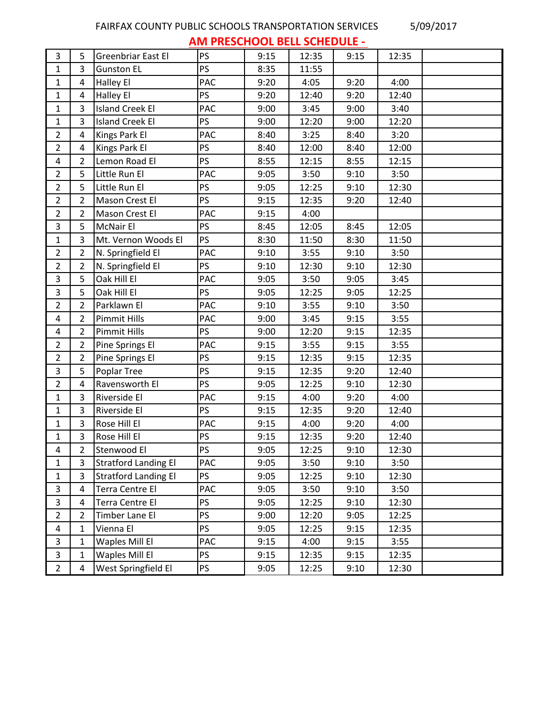### FAIRFAX COUNTY PUBLIC SCHOOLS TRANSPORTATION SERVICES 5/09/2017

**AM PRESCHOOL BELL SCHEDULE -** 

|                         |                |                             |           | ----- |       |      |       |  |
|-------------------------|----------------|-----------------------------|-----------|-------|-------|------|-------|--|
| 3                       | 5              | Greenbriar East El          | PS        | 9:15  | 12:35 | 9:15 | 12:35 |  |
| $\mathbf{1}$            | 3              | <b>Gunston EL</b>           | PS        | 8:35  | 11:55 |      |       |  |
| $\mathbf{1}$            | 4              | Halley El                   | PAC       | 9:20  | 4:05  | 9:20 | 4:00  |  |
| $\mathbf{1}$            | 4              | Halley El                   | <b>PS</b> | 9:20  | 12:40 | 9:20 | 12:40 |  |
| $\mathbf{1}$            | 3              | <b>Island Creek El</b>      | PAC       | 9:00  | 3:45  | 9:00 | 3:40  |  |
| $\mathbf{1}$            | 3              | <b>Island Creek El</b>      | PS        | 9:00  | 12:20 | 9:00 | 12:20 |  |
| $\overline{2}$          | 4              | Kings Park El               | PAC       | 8:40  | 3:25  | 8:40 | 3:20  |  |
| $\overline{2}$          | 4              | Kings Park El               | PS        | 8:40  | 12:00 | 8:40 | 12:00 |  |
| $\overline{\mathbf{4}}$ | $\overline{2}$ | Lemon Road El               | <b>PS</b> | 8:55  | 12:15 | 8:55 | 12:15 |  |
| $\overline{2}$          | 5              | Little Run El               | PAC       | 9:05  | 3:50  | 9:10 | 3:50  |  |
| $\overline{2}$          | 5              | Little Run El               | PS        | 9:05  | 12:25 | 9:10 | 12:30 |  |
| $\overline{2}$          | $\overline{2}$ | Mason Crest El              | <b>PS</b> | 9:15  | 12:35 | 9:20 | 12:40 |  |
| $\overline{2}$          | $\overline{2}$ | Mason Crest El              | PAC       | 9:15  | 4:00  |      |       |  |
| 3                       | 5              | <b>McNair El</b>            | PS        | 8:45  | 12:05 | 8:45 | 12:05 |  |
| $\mathbf{1}$            | 3              | Mt. Vernon Woods El         | <b>PS</b> | 8:30  | 11:50 | 8:30 | 11:50 |  |
| $\overline{2}$          | $\overline{2}$ | N. Springfield El           | PAC       | 9:10  | 3:55  | 9:10 | 3:50  |  |
| $\overline{2}$          | $\overline{2}$ | N. Springfield El           | PS        | 9:10  | 12:30 | 9:10 | 12:30 |  |
| $\overline{3}$          | 5              | Oak Hill El                 | PAC       | 9:05  | 3:50  | 9:05 | 3:45  |  |
| $\overline{3}$          | 5              | Oak Hill El                 | <b>PS</b> | 9:05  | 12:25 | 9:05 | 12:25 |  |
| $\overline{2}$          | $\overline{2}$ | Parklawn El                 | PAC       | 9:10  | 3:55  | 9:10 | 3:50  |  |
| $\overline{4}$          | $\overline{2}$ | <b>Pimmit Hills</b>         | PAC       | 9:00  | 3:45  | 9:15 | 3:55  |  |
| 4                       | $\overline{2}$ | <b>Pimmit Hills</b>         | PS        | 9:00  | 12:20 | 9:15 | 12:35 |  |
| $\overline{2}$          | $\overline{2}$ | Pine Springs El             | PAC       | 9:15  | 3:55  | 9:15 | 3:55  |  |
| $\overline{2}$          | $\overline{2}$ | Pine Springs El             | <b>PS</b> | 9:15  | 12:35 | 9:15 | 12:35 |  |
| $\overline{3}$          | 5              | Poplar Tree                 | PS        | 9:15  | 12:35 | 9:20 | 12:40 |  |
| $\overline{2}$          | 4              | Ravensworth El              | <b>PS</b> | 9:05  | 12:25 | 9:10 | 12:30 |  |
| $\mathbf{1}$            | 3              | Riverside El                | PAC       | 9:15  | 4:00  | 9:20 | 4:00  |  |
| $\mathbf{1}$            | 3              | Riverside El                | PS        | 9:15  | 12:35 | 9:20 | 12:40 |  |
| $\mathbf{1}$            | 3              | Rose Hill El                | PAC       | 9:15  | 4:00  | 9:20 | 4:00  |  |
| 1                       | 3              | Rose Hill El                | PS        | 9:15  | 12:35 | 9:20 | 12:40 |  |
| 4                       | $\overline{2}$ | Stenwood El                 | <b>PS</b> | 9:05  | 12:25 | 9:10 | 12:30 |  |
| $\mathbf{1}$            | 3              | <b>Stratford Landing El</b> | PAC       | 9:05  | 3:50  | 9:10 | 3:50  |  |
| $\mathbf{1}$            | 3              | <b>Stratford Landing El</b> | <b>PS</b> | 9:05  | 12:25 | 9:10 | 12:30 |  |
| $\mathbf{3}$            | $\overline{4}$ | <b>Terra Centre El</b>      | PAC       | 9:05  | 3:50  | 9:10 | 3:50  |  |
| 3                       | 4              | <b>Terra Centre El</b>      | <b>PS</b> | 9:05  | 12:25 | 9:10 | 12:30 |  |
| $\overline{2}$          | 2              | Timber Lane El              | PS        | 9:00  | 12:20 | 9:05 | 12:25 |  |
| 4                       | 1              | Vienna El                   | PS        | 9:05  | 12:25 | 9:15 | 12:35 |  |
| $\overline{3}$          | $\mathbf{1}$   | Waples Mill El              | PAC       | 9:15  | 4:00  | 9:15 | 3:55  |  |
| 3                       | $\mathbf{1}$   | Waples Mill El              | PS        | 9:15  | 12:35 | 9:15 | 12:35 |  |
| $\overline{2}$          | $\overline{4}$ | West Springfield El         | <b>PS</b> | 9:05  | 12:25 | 9:10 | 12:30 |  |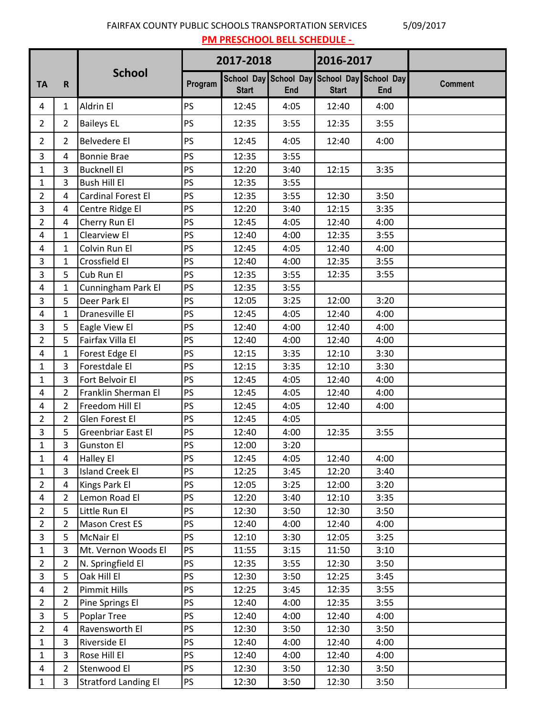FAIRFAX COUNTY PUBLIC SCHOOLS TRANSPORTATION SERVICES 5/09/2017 **PM PRESCHOOL BELL SCHEDULE -** 

|                |                |                             | 2017-2018 |              |                                                    | 2016-2017    |      |                |
|----------------|----------------|-----------------------------|-----------|--------------|----------------------------------------------------|--------------|------|----------------|
| <b>TA</b>      | R              | <b>School</b>               | Program   | <b>Start</b> | School Day School Day School Day School Day<br>End | <b>Start</b> | End  | <b>Comment</b> |
| 4              | 1              | Aldrin El                   | PS        | 12:45        | 4:05                                               | 12:40        | 4:00 |                |
| $\overline{2}$ | $\overline{2}$ | <b>Baileys EL</b>           | PS        | 12:35        | 3:55                                               | 12:35        | 3:55 |                |
| $\overline{2}$ | $\overline{2}$ | <b>Belvedere El</b>         | PS        | 12:45        | 4:05                                               | 12:40        | 4:00 |                |
| 3              | 4              | <b>Bonnie Brae</b>          | PS        | 12:35        | 3:55                                               |              |      |                |
| $\mathbf{1}$   | 3              | <b>Bucknell El</b>          | PS        | 12:20        | 3:40                                               | 12:15        | 3:35 |                |
| $\mathbf{1}$   | 3              | <b>Bush Hill El</b>         | PS        | 12:35        | 3:55                                               |              |      |                |
| $\overline{2}$ | 4              | Cardinal Forest El          | PS        | 12:35        | 3:55                                               | 12:30        | 3:50 |                |
| $\mathbf{3}$   | 4              | Centre Ridge El             | PS        | 12:20        | 3:40                                               | 12:15        | 3:35 |                |
| $\overline{2}$ | 4              | Cherry Run El               | PS        | 12:45        | 4:05                                               | 12:40        | 4:00 |                |
| 4              | $\mathbf{1}$   | Clearview El                | PS        | 12:40        | 4:00                                               | 12:35        | 3:55 |                |
| 4              | 1              | Colvin Run El               | PS        | 12:45        | 4:05                                               | 12:40        | 4:00 |                |
| $\overline{3}$ | $\mathbf{1}$   | Crossfield El               | PS        | 12:40        | 4:00                                               | 12:35        | 3:55 |                |
| $\overline{3}$ | 5              | Cub Run El                  | PS        | 12:35        | 3:55                                               | 12:35        | 3:55 |                |
| $\overline{4}$ | 1              | Cunningham Park El          | PS        | 12:35        | 3:55                                               |              |      |                |
| $\overline{3}$ | 5              | Deer Park El                | PS        | 12:05        | 3:25                                               | 12:00        | 3:20 |                |
| 4              | 1              | Dranesville El              | PS        | 12:45        | 4:05                                               | 12:40        | 4:00 |                |
| 3              | 5              | Eagle View El               | PS        | 12:40        | 4:00                                               | 12:40        | 4:00 |                |
| $\overline{2}$ | 5              | Fairfax Villa El            | PS        | 12:40        | 4:00                                               | 12:40        | 4:00 |                |
| $\overline{4}$ | 1              | Forest Edge El              | PS        | 12:15        | 3:35                                               | 12:10        | 3:30 |                |
| $\mathbf{1}$   | 3              | Forestdale El               | PS        | 12:15        | 3:35                                               | 12:10        | 3:30 |                |
| $\mathbf{1}$   | 3              | Fort Belvoir El             | PS        | 12:45        | 4:05                                               | 12:40        | 4:00 |                |
| 4              | $\overline{2}$ | Franklin Sherman El         | PS        | 12:45        | 4:05                                               | 12:40        | 4:00 |                |
| 4              | 2              | Freedom Hill El             | PS        | 12:45        | 4:05                                               | 12:40        | 4:00 |                |
| $\overline{2}$ | $\overline{2}$ | Glen Forest El              | PS        | 12:45        | 4:05                                               |              |      |                |
| $\mathbf{3}$   | 5              | Greenbriar East El          | PS        | 12:40        | 4:00                                               | 12:35        | 3:55 |                |
| $\mathbf{1}$   | 3              | <b>Gunston El</b>           | PS        | 12:00        | 3:20                                               |              |      |                |
| $\mathbf{1}$   | 4              | <b>Halley El</b>            | PS        | 12:45        | 4:05                                               | 12:40        | 4:00 |                |
| $\mathbf{1}$   | 3              | <b>Island Creek El</b>      | PS        | 12:25        | 3:45                                               | 12:20        | 3:40 |                |
| $\overline{2}$ | 4              | Kings Park El               | PS        | 12:05        | 3:25                                               | 12:00        | 3:20 |                |
| $\overline{4}$ | 2              | Lemon Road El               | PS        | 12:20        | 3:40                                               | 12:10        | 3:35 |                |
| $\overline{2}$ | 5              | Little Run El               | PS        | 12:30        | 3:50                                               | 12:30        | 3:50 |                |
| $\overline{2}$ | $\overline{2}$ | Mason Crest ES              | PS        | 12:40        | 4:00                                               | 12:40        | 4:00 |                |
| $\mathbf{3}$   | 5              | McNair El                   | PS        | 12:10        | 3:30                                               | 12:05        | 3:25 |                |
| $\mathbf{1}$   | 3              | Mt. Vernon Woods El         | PS        | 11:55        | 3:15                                               | 11:50        | 3:10 |                |
| $\overline{2}$ | 2              | N. Springfield El           | PS        | 12:35        | 3:55                                               | 12:30        | 3:50 |                |
| $\overline{3}$ | 5              | Oak Hill El                 | PS        | 12:30        | 3:50                                               | 12:25        | 3:45 |                |
| $\overline{4}$ | $\overline{2}$ | Pimmit Hills                | PS        | 12:25        | 3:45                                               | 12:35        | 3:55 |                |
| $\overline{2}$ | $\overline{2}$ | Pine Springs El             | PS        | 12:40        | 4:00                                               | 12:35        | 3:55 |                |
| $\mathbf{3}$   | 5              | Poplar Tree                 | PS        | 12:40        | 4:00                                               | 12:40        | 4:00 |                |
| $2^{\circ}$    | 4              | Ravensworth El              | PS        | 12:30        | 3:50                                               | 12:30        | 3:50 |                |
| $\mathbf{1}$   | 3              | Riverside El                | PS        | 12:40        | 4:00                                               | 12:40        | 4:00 |                |
| $\mathbf{1}$   | 3              | Rose Hill El                | PS        | 12:40        | 4:00                                               | 12:40        | 4:00 |                |
| $\overline{4}$ | $\overline{2}$ | Stenwood El                 | <b>PS</b> | 12:30        | 3:50                                               | 12:30        | 3:50 |                |
| $\mathbf{1}$   | 3              | <b>Stratford Landing El</b> | <b>PS</b> | 12:30        | 3:50                                               | 12:30        | 3:50 |                |